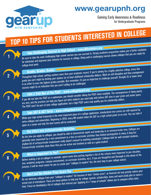

## www.gearupnh.org

Gaining Early Awareness & Readiness for Undergraduate Programs

# **TOP 10 TIPS FOR STUDENTS INTERESTED IN COLLEGE**





**Don't Let the Sticker Price Scare You Letter and Scare Scare Scare Scare Scare Scare Scare Scare Scare Scare S**<br>Do not eliminate colleges from your "colleges to explore" list because of their "sticker price", as financial actual cost of attendance. There are many options to help pay for college (grants, scholarships, loans and work-study jobs to name a few). Focus on developing a list of colleges that interest you. Applying to a "range of schools" allows you to compare offers later.